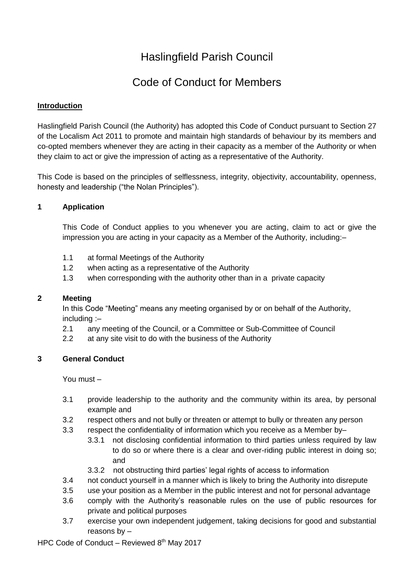# Haslingfield Parish Council

# Code of Conduct for Members

### **Introduction**

Haslingfield Parish Council (the Authority) has adopted this Code of Conduct pursuant to Section 27 of the Localism Act 2011 to promote and maintain high standards of behaviour by its members and co-opted members whenever they are acting in their capacity as a member of the Authority or when they claim to act or give the impression of acting as a representative of the Authority.

This Code is based on the principles of selflessness, integrity, objectivity, accountability, openness, honesty and leadership ("the Nolan Principles").

## **1 Application**

This Code of Conduct applies to you whenever you are acting, claim to act or give the impression you are acting in your capacity as a Member of the Authority, including:–

- 1.1 at formal Meetings of the Authority
- 1.2 when acting as a representative of the Authority
- 1.3 when corresponding with the authority other than in a private capacity

#### **2 Meeting**

In this Code "Meeting" means any meeting organised by or on behalf of the Authority, including :–

- 2.1 any meeting of the Council, or a Committee or Sub-Committee of Council
- 2.2 at any site visit to do with the business of the Authority

## **3 General Conduct**

You must –

- 3.1 provide leadership to the authority and the community within its area, by personal example and
- 3.2 respect others and not bully or threaten or attempt to bully or threaten any person
- 3.3 respect the confidentiality of information which you receive as a Member by–
	- 3.3.1 not disclosing confidential information to third parties unless required by law to do so or where there is a clear and over-riding public interest in doing so; and
	- 3.3.2 not obstructing third parties' legal rights of access to information
- 3.4 not conduct yourself in a manner which is likely to bring the Authority into disrepute
- 3.5 use your position as a Member in the public interest and not for personal advantage
- 3.6 comply with the Authority's reasonable rules on the use of public resources for private and political purposes
- 3.7 exercise your own independent judgement, taking decisions for good and substantial reasons by –

HPC Code of Conduct – Reviewed 8th May 2017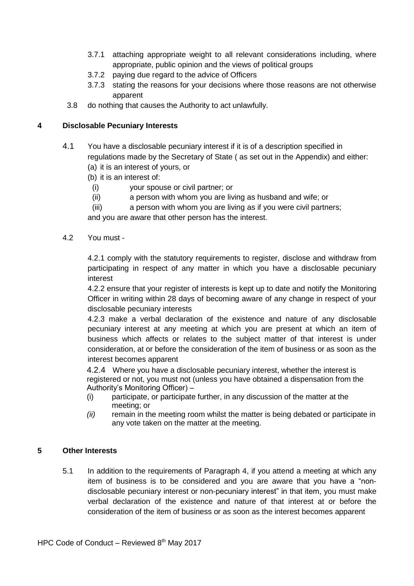- 3.7.1 attaching appropriate weight to all relevant considerations including, where appropriate, public opinion and the views of political groups
- 3.7.2 paying due regard to the advice of Officers
- 3.7.3 stating the reasons for your decisions where those reasons are not otherwise apparent
- 3.8 do nothing that causes the Authority to act unlawfully.

### **4 Disclosable Pecuniary Interests**

- 4.1 You have a disclosable pecuniary interest if it is of a description specified in regulations made by the Secretary of State ( as set out in the Appendix) and either: (a) it is an interest of yours, or
	- (b) it is an interest of:
	- (i) your spouse or civil partner; or
	- (ii) a person with whom you are living as husband and wife; or
	- (iii) a person with whom you are living as if you were civil partners;

and you are aware that other person has the interest.

4.2 You must -

4.2.1 comply with the statutory requirements to register, disclose and withdraw from participating in respect of any matter in which you have a disclosable pecuniary interest

4.2.2 ensure that your register of interests is kept up to date and notify the Monitoring Officer in writing within 28 days of becoming aware of any change in respect of your disclosable pecuniary interests

4.2.3 make a verbal declaration of the existence and nature of any disclosable pecuniary interest at any meeting at which you are present at which an item of business which affects or relates to the subject matter of that interest is under consideration, at or before the consideration of the item of business or as soon as the interest becomes apparent

4.2.4 Where you have a disclosable pecuniary interest, whether the interest is registered or not, you must not (unless you have obtained a dispensation from the Authority's Monitoring Officer) –

- (i) participate, or participate further, in any discussion of the matter at the meeting; or
- *(ii)* remain in the meeting room whilst the matter is being debated or participate in any vote taken on the matter at the meeting*.*

#### **5 Other Interests**

5.1 In addition to the requirements of Paragraph 4, if you attend a meeting at which any item of business is to be considered and you are aware that you have a "nondisclosable pecuniary interest or non-pecuniary interest" in that item, you must make verbal declaration of the existence and nature of that interest at or before the consideration of the item of business or as soon as the interest becomes apparent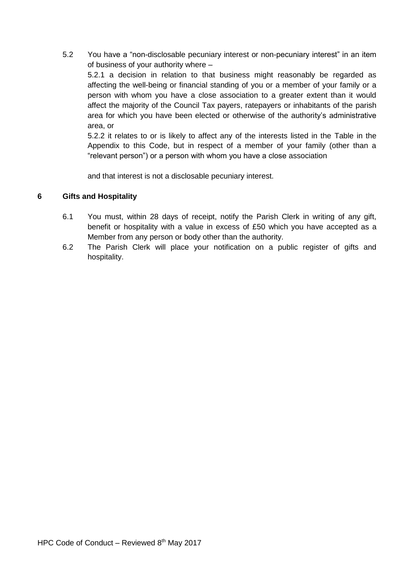5.2 You have a "non-disclosable pecuniary interest or non-pecuniary interest" in an item of business of your authority where –

5.2.1 a decision in relation to that business might reasonably be regarded as affecting the well-being or financial standing of you or a member of your family or a person with whom you have a close association to a greater extent than it would affect the majority of the Council Tax payers, ratepayers or inhabitants of the parish area for which you have been elected or otherwise of the authority's administrative area, or

5.2.2 it relates to or is likely to affect any of the interests listed in the Table in the Appendix to this Code, but in respect of a member of your family (other than a "relevant person") or a person with whom you have a close association

and that interest is not a disclosable pecuniary interest.

## **6 Gifts and Hospitality**

- 6.1 You must, within 28 days of receipt, notify the Parish Clerk in writing of any gift, benefit or hospitality with a value in excess of £50 which you have accepted as a Member from any person or body other than the authority.
- 6.2 The Parish Clerk will place your notification on a public register of gifts and hospitality.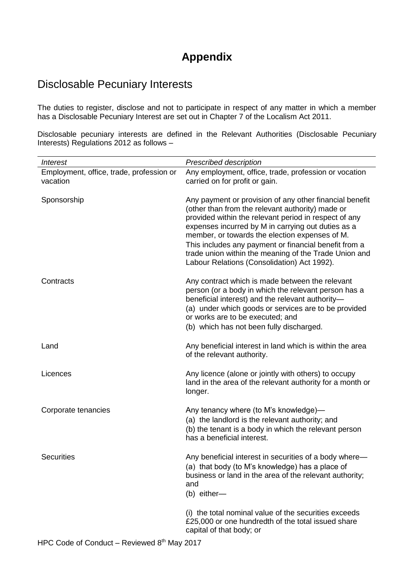# **Appendix**

# Disclosable Pecuniary Interests

The duties to register, disclose and not to participate in respect of any matter in which a member has a Disclosable Pecuniary Interest are set out in Chapter 7 of the Localism Act 2011.

Disclosable pecuniary interests are defined in the Relevant Authorities (Disclosable Pecuniary Interests) Regulations 2012 as follows –

| <i><b>Interest</b></i>                               | Prescribed description                                                                                                                                                                                                                                                                                                                                                                                                                        |
|------------------------------------------------------|-----------------------------------------------------------------------------------------------------------------------------------------------------------------------------------------------------------------------------------------------------------------------------------------------------------------------------------------------------------------------------------------------------------------------------------------------|
| Employment, office, trade, profession or<br>vacation | Any employment, office, trade, profession or vocation<br>carried on for profit or gain.                                                                                                                                                                                                                                                                                                                                                       |
| Sponsorship                                          | Any payment or provision of any other financial benefit<br>(other than from the relevant authority) made or<br>provided within the relevant period in respect of any<br>expenses incurred by M in carrying out duties as a<br>member, or towards the election expenses of M.<br>This includes any payment or financial benefit from a<br>trade union within the meaning of the Trade Union and<br>Labour Relations (Consolidation) Act 1992). |
| Contracts                                            | Any contract which is made between the relevant<br>person (or a body in which the relevant person has a<br>beneficial interest) and the relevant authority-<br>(a) under which goods or services are to be provided<br>or works are to be executed; and<br>(b) which has not been fully discharged.                                                                                                                                           |
| Land                                                 | Any beneficial interest in land which is within the area<br>of the relevant authority.                                                                                                                                                                                                                                                                                                                                                        |
| Licences                                             | Any licence (alone or jointly with others) to occupy<br>land in the area of the relevant authority for a month or<br>longer.                                                                                                                                                                                                                                                                                                                  |
| Corporate tenancies                                  | Any tenancy where (to M's knowledge)-<br>(a) the landlord is the relevant authority; and<br>(b) the tenant is a body in which the relevant person<br>has a beneficial interest.                                                                                                                                                                                                                                                               |
| <b>Securities</b>                                    | Any beneficial interest in securities of a body where-<br>(a) that body (to M's knowledge) has a place of<br>business or land in the area of the relevant authority;<br>and<br>(b) either-                                                                                                                                                                                                                                                    |
|                                                      | (i) the total nominal value of the securities exceeds<br>£25,000 or one hundredth of the total issued share<br>capital of that body; or                                                                                                                                                                                                                                                                                                       |